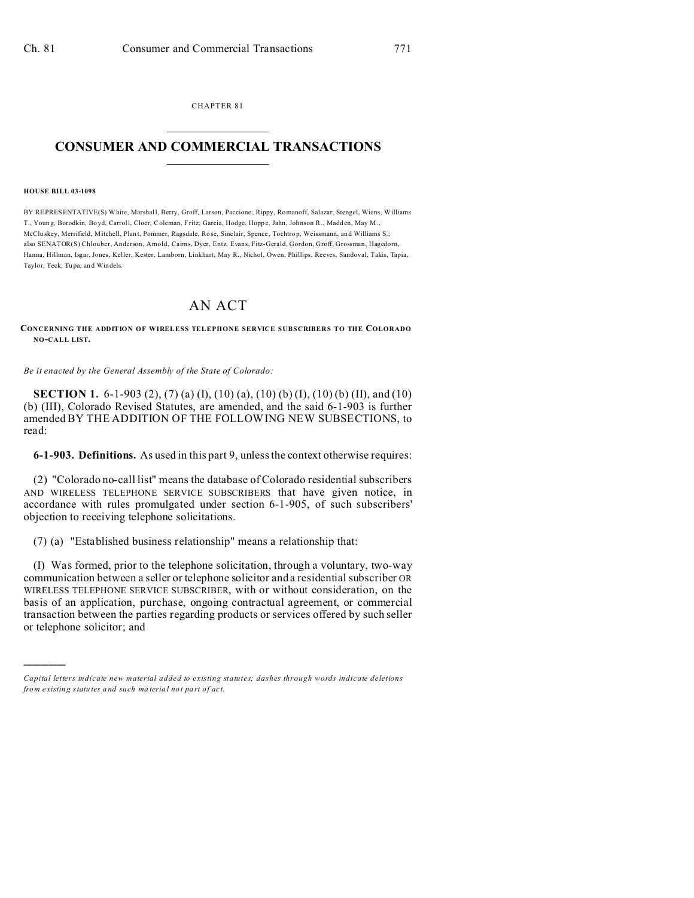**CHAPTER 81** 

# **CONSUMER AND COMMERCIAL TRANSACTIONS**

#### **HOUSE BILL 03-1098**

BY REPRESENTATIVE(S) White, Marshall, Berry, Groff, Larson, Paccione, Rippy, Romanoff, Salazar, Stengel, Wiens, Williams T., Young, Borodkin, Boyd, Carroll, Cloer, Coleman, Fritz, Garcia, Hodge, Hoppe, Jahn, Johnson R., Madden, May M., McCluskey, Merrifield, Mitchell, Plant, Pommer, Ragsdale, Rose, Sinclair, Spence, Tochtrop, Weissmann, and Williams S.; also SENATOR(S) Chlouber, Anderson, Amold, Cairns, Dyer, Entz, Evans, Fitz-Gerald, Gordon, Groff, Grossman, Hagedorn, Hanna, Hillman, Isgar, Jones, Keller, Kester, Lamborn, Linkhart, May R., Nichol, Owen, Phillips, Reeves, Sandoval, Takis, Tapia, Taylor, Teck, Tupa, and Windels.

# **AN ACT**

### CONCERNING THE ADDITION OF WIRELESS TELEPHONE SERVICE SUBSCRIBERS TO THE COLORADO NO-CALL LIST.

### Be it enacted by the General Assembly of the State of Colorado:

**SECTION 1.** 6-1-903 (2), (7) (a) (I), (10) (a), (10) (b) (I), (10) (b) (II), and (10) (b) (III), Colorado Revised Statutes, are amended, and the said 6-1-903 is further amended BY THE ADDITION OF THE FOLLOWING NEW SUBSECTIONS, to read:

6-1-903. Definitions. As used in this part 9, unless the context otherwise requires:

(2) "Colorado no-call list" means the database of Colorado residential subscribers AND WIRELESS TELEPHONE SERVICE SUBSCRIBERS that have given notice, in accordance with rules promulgated under section 6-1-905, of such subscribers' objection to receiving telephone solicitations.

(7) (a) "Established business relationship" means a relationship that:

(I) Was formed, prior to the telephone solicitation, through a voluntary, two-way communication between a seller or telephone solicitor and a residential subscriber OR WIRELESS TELEPHONE SERVICE SUBSCRIBER, with or without consideration, on the basis of an application, purchase, ongoing contractual agreement, or commercial transaction between the parties regarding products or services offered by such seller or telephone solicitor; and

Capital letters indicate new material added to existing statutes; dashes through words indicate deletions from existing statutes and such material not part of act.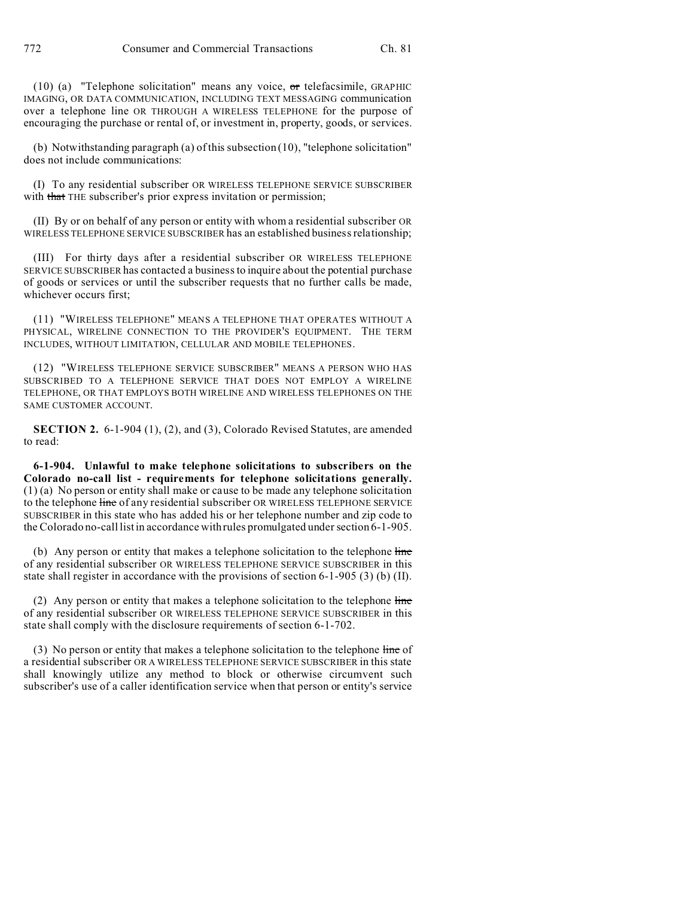(10) (a) "Telephone solicitation" means any voice,  $\sigma$ r telefacsimile, GRAPHIC IMAGING, OR DATA COMMUNICATION, INCLUDING TEXT MESSAGING communication over a telephone line OR THROUGH A WIRELESS TELEPHONE for the purpose of encouraging the purchase or rental of, or investment in, property, goods, or services.

(b) Notwithstanding paragraph (a) of this subsection (10), "telephone solicitation" does not include communications:

(I) To any residential subscriber OR WIRELESS TELEPHONE SERVICE SUBSCRIBER with that THE subscriber's prior express invitation or permission;

(II) By or on behalf of any person or entity with whom a residential subscriber OR WIRELESS TELEPHONE SERVICE SUBSCRIBER has an established business relationship;

(III) For thirty days after a residential subscriber OR WIRELESS TELEPHONE SERVICE SUBSCRIBER has contacted a business to inquire about the potential purchase of goods or services or until the subscriber requests that no further calls be made, whichever occurs first;

(11) "WIRELESS TELEPHONE" MEANS A TELEPHONE THAT OPERATES WITHOUT A PHYSICAL, WIRELINE CONNECTION TO THE PROVIDER'S EQUIPMENT. THE TERM INCLUDES, WITHOUT LIMITATION, CELLULAR AND MOBILE TELEPHONES.

(12) "WIRELESS TELEPHONE SERVICE SUBSCRIBER" MEANS A PERSON WHO HAS SUBSCRIBED TO A TELEPHONE SERVICE THAT DOES NOT EMPLOY A WIRELINE TELEPHONE, OR THAT EMPLOYS BOTH WIRELINE AND WIRELESS TELEPHONES ON THE SAME CUSTOMER ACCOUNT.

**SECTION 2.** 6-1-904 (1), (2), and (3), Colorado Revised Statutes, are amended to read:

**6-1-904. Unlawful to make telephone solicitations to subscribers on the Colorado no-call list - requirements for telephone solicitations generally.** (1) (a) No person or entity shall make or cause to be made any telephone solicitation to the telephone line of any residential subscriber OR WIRELESS TELEPHONE SERVICE SUBSCRIBER in this state who has added his or her telephone number and zip code to the Colorado no-call list in accordance with rules promulgated under section 6-1-905.

(b) Any person or entity that makes a telephone solicitation to the telephone line of any residential subscriber OR WIRELESS TELEPHONE SERVICE SUBSCRIBER in this state shall register in accordance with the provisions of section 6-1-905 (3) (b) (II).

(2) Any person or entity that makes a telephone solicitation to the telephone line of any residential subscriber OR WIRELESS TELEPHONE SERVICE SUBSCRIBER in this state shall comply with the disclosure requirements of section 6-1-702.

(3) No person or entity that makes a telephone solicitation to the telephone line of a residential subscriber OR A WIRELESS TELEPHONE SERVICE SUBSCRIBER in this state shall knowingly utilize any method to block or otherwise circumvent such subscriber's use of a caller identification service when that person or entity's service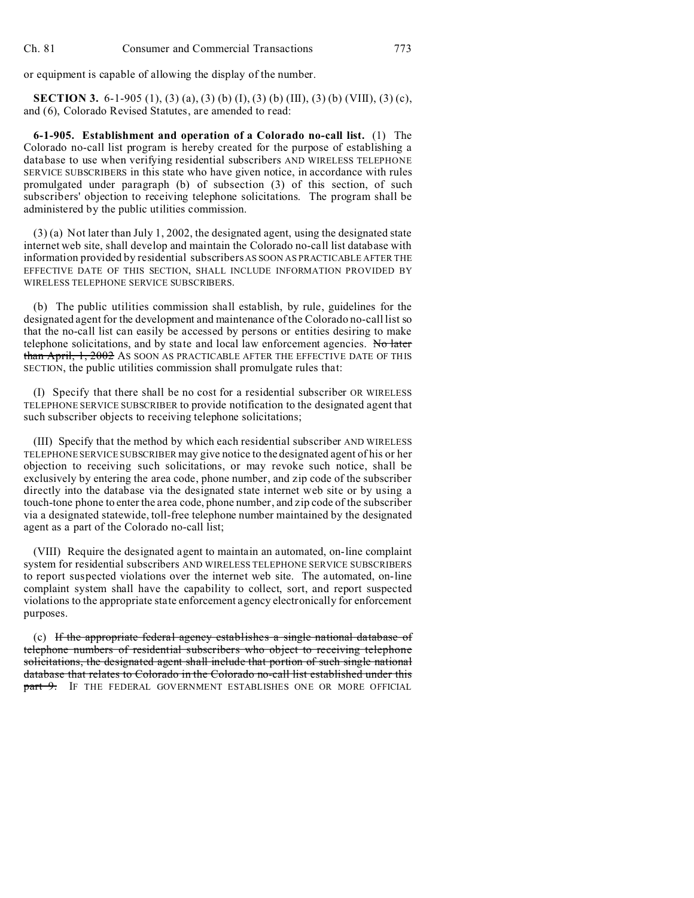or equipment is capable of allowing the display of the number.

**SECTION 3.** 6-1-905 (1), (3) (a), (3) (b) (I), (3) (b) (III), (3) (b) (VIII), (3) (c), and (6), Colorado Revised Statutes, are amended to read:

**6-1-905. Establishment and operation of a Colorado no-call list.** (1) The Colorado no-call list program is hereby created for the purpose of establishing a database to use when verifying residential subscribers AND WIRELESS TELEPHONE SERVICE SUBSCRIBERS in this state who have given notice, in accordance with rules promulgated under paragraph (b) of subsection (3) of this section, of such subscribers' objection to receiving telephone solicitations. The program shall be administered by the public utilities commission.

(3) (a) Not later than July 1, 2002, the designated agent, using the designated state internet web site, shall develop and maintain the Colorado no-call list database with information provided by residential subscribers AS SOON AS PRACTICABLE AFTER THE EFFECTIVE DATE OF THIS SECTION, SHALL INCLUDE INFORMATION PROVIDED BY WIRELESS TELEPHONE SERVICE SUBSCRIBERS.

(b) The public utilities commission shall establish, by rule, guidelines for the designated agent for the development and maintenance of the Colorado no-call list so that the no-call list can easily be accessed by persons or entities desiring to make telephone solicitations, and by state and local law enforcement agencies. No later than April, 1, 2002 AS SOON AS PRACTICABLE AFTER THE EFFECTIVE DATE OF THIS SECTION, the public utilities commission shall promulgate rules that:

(I) Specify that there shall be no cost for a residential subscriber OR WIRELESS TELEPHONE SERVICE SUBSCRIBER to provide notification to the designated agent that such subscriber objects to receiving telephone solicitations;

(III) Specify that the method by which each residential subscriber AND WIRELESS TELEPHONE SERVICE SUBSCRIBER may give notice to the designated agent of his or her objection to receiving such solicitations, or may revoke such notice, shall be exclusively by entering the area code, phone number, and zip code of the subscriber directly into the database via the designated state internet web site or by using a touch-tone phone to enter the area code, phone number, and zip code of the subscriber via a designated statewide, toll-free telephone number maintained by the designated agent as a part of the Colorado no-call list;

(VIII) Require the designated agent to maintain an automated, on-line complaint system for residential subscribers AND WIRELESS TELEPHONE SERVICE SUBSCRIBERS to report suspected violations over the internet web site. The automated, on-line complaint system shall have the capability to collect, sort, and report suspected violations to the appropriate state enforcement agency electronically for enforcement purposes.

(c) If the appropriate federal agency establishes a single national database of telephone numbers of residential subscribers who object to receiving telephone solicitations, the designated agent shall include that portion of such single national database that relates to Colorado in the Colorado no-call list established under this part 9. IF THE FEDERAL GOVERNMENT ESTABLISHES ONE OR MORE OFFICIAL